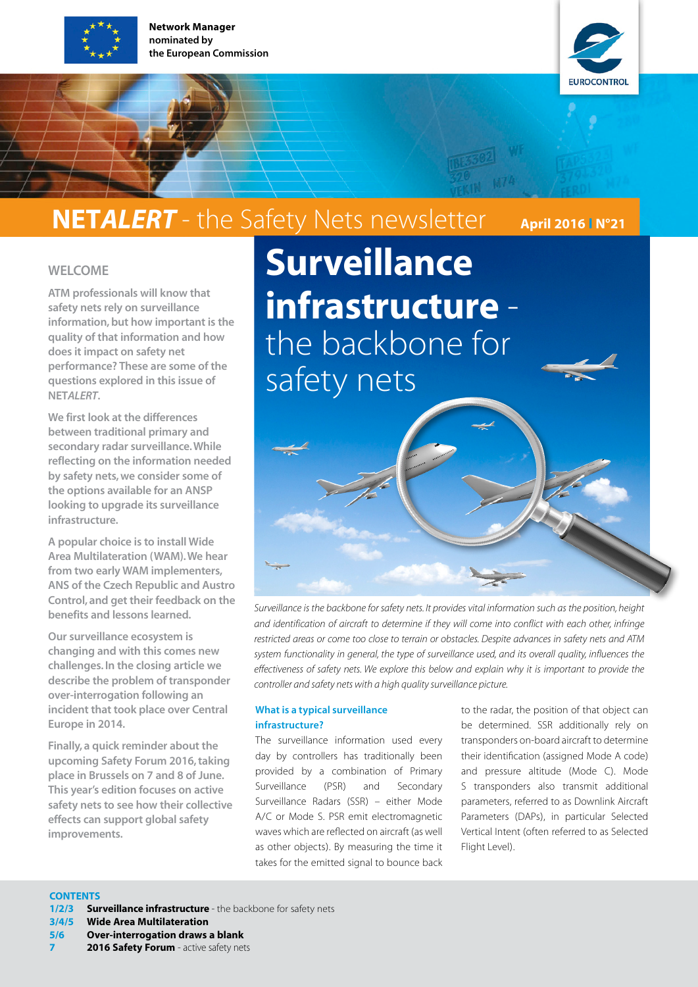

Network Manager nominated by the European Commission



# NETALERT - the Safety Nets newsletter April 2016 IN°21

### WELCOME

ATM professionals will know that safety nets rely on surveillance information, but how important is the quality of that information and how does it impact on safety net performance? These are some of the questions explored in this issue of NET*ALERT*.

We first look at the differences between traditional primary and secondary radar surveillance. While reflecting on the information needed by safety nets, we consider some of the options available for an ANSP looking to upgrade its surveillance infrastructure.

A popular choice is to install Wide Area Multilateration (WAM). We hear from two early WAM implementers, ANS of the Czech Republic and Austro Control, and get their feedback on the benefits and lessons learned.

Our surveillance ecosystem is changing and with this comes new challenges. In the closing article we describe the problem of transponder over-interrogation following an incident that took place over Central Europe in 2014.

Finally, a quick reminder about the upcoming Safety Forum 2016, taking place in Brussels on 7 and 8 of June. This year's edition focuses on active safety nets to see how their collective effects can support global safety improvements.

**Surveillance** infrastructure the backbone for safety nets

*Surveillance is the backbone for safety nets. It provides vital information such as the position, height* 

*and identification of aircraft to determine if they will come into conflict with each other, infringe restricted areas or come too close to terrain or obstacles. Despite advances in safety nets and ATM system functionality in general, the type of surveillance used, and its overall quality, influences the effectiveness of safety nets. We explore this below and explain why it is important to provide the controller and safety nets with a high quality surveillance picture.*

### What is a typical surveillance infrastructure?

The surveillance information used every day by controllers has traditionally been provided by a combination of Primary Surveillance (PSR) and Secondary Surveillance Radars (SSR) – either Mode A/C or Mode S. PSR emit electromagnetic waves which are reflected on aircraft (as well as other objects). By measuring the time it takes for the emitted signal to bounce back to the radar, the position of that object can be determined. SSR additionally rely on transponders on-board aircraft to determine their identification (assigned Mode A code) and pressure altitude (Mode C). Mode S transponders also transmit additional parameters, referred to as Downlink Aircraft Parameters (DAPs), in particular Selected Vertical Intent (often referred to as Selected Flight Level).

#### **CONTENTS**

- 1/2/3 **Surveillance infrastructure** the backbone for safety nets
- 3/4/5 Wide Area Multilateration
- 5/6 Over-interrogation draws a blank
- 2016 Safety Forum active safety nets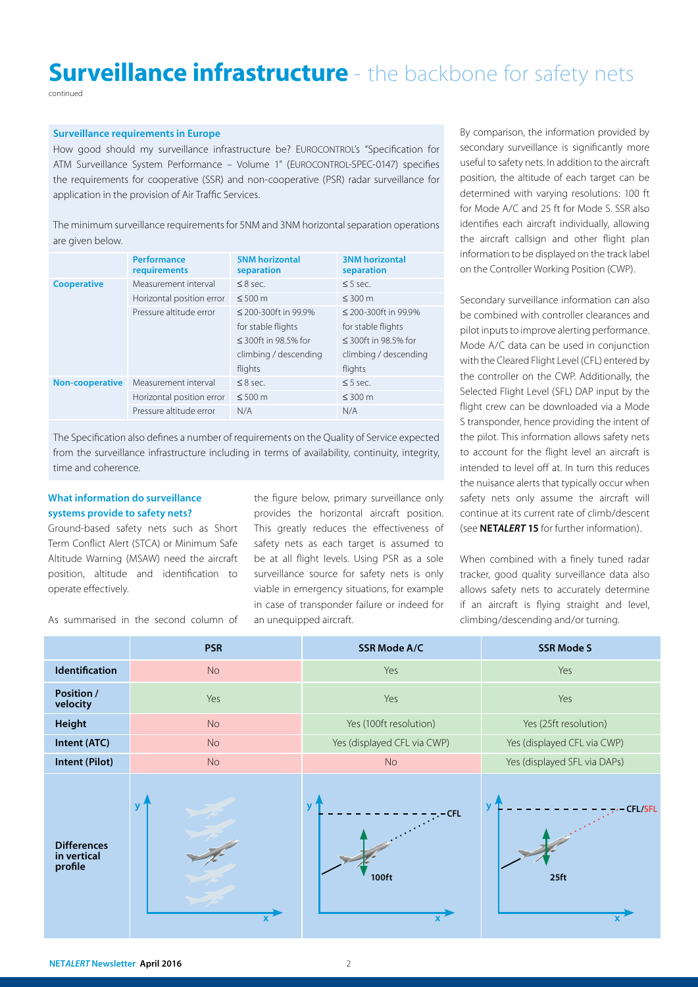# **Surveillance infrastructure** - the backbone for safety nets

continued

### Surveillance requirements in Europe

How good should my surveillance infrastructure be? EUROCONTROL's "Specification for ATM Surveillance System Performance – Volume 1" (EUROCONTROL-SPEC-0147) specifies the requirements for cooperative (SSR) and non-cooperative (PSR) radar surveillance for application in the provision of Air Traffic Services.

The minimum surveillance requirements for 5NM and 3NM horizontal separation operations are given below.

|                        | <b>Performance</b><br>requirements | <b>5NM horizontal</b><br>separation | <b>3NM horizontal</b><br>separation |
|------------------------|------------------------------------|-------------------------------------|-------------------------------------|
| <b>Cooperative</b>     | Measurement interval               | $\leq$ 8 sec.                       | $\leq$ 5 sec.                       |
|                        | Horizontal position error          | $\leq 500$ m                        | $\leq 300$ m                        |
|                        | Pressure altitude error            | $\leq$ 200-300ft in 99.9%           | $\leq$ 200-300ft in 99.9%           |
|                        |                                    | for stable flights                  | for stable flights                  |
|                        |                                    | $\leq$ 300ft in 98.5% for           | $\leq$ 300ft in 98.5% for           |
|                        |                                    | climbing / descending               | climbing / descending               |
|                        |                                    | flights                             | flights                             |
| <b>Non-cooperative</b> | Measurement interval               | $\leq$ 8 sec.                       | $\leq$ 5 sec.                       |
|                        | Horizontal position error          | $\leq 500$ m                        | $\leq 300$ m                        |
|                        | Pressure altitude error            | N/A                                 | N/A                                 |

The Specification also defines a number of requirements on the Quality of Service expected from the surveillance infrastructure including in terms of availability, continuity, integrity, time and coherence.

### What information do surveillance systems provide to safety nets?

Ground-based safety nets such as Short Term Conflict Alert (STCA) or Minimum Safe Altitude Warning (MSAW) need the aircraft position, altitude and identification to operate effectively.

As summarised in the second column of

the figure below, primary surveillance only provides the horizontal aircraft position. This greatly reduces the effectiveness of safety nets as each target is assumed to be at all flight levels. Using PSR as a sole surveillance source for safety nets is only viable in emergency situations, for example in case of transponder failure or indeed for an unequipped aircraft.

By comparison, the information provided by secondary surveillance is significantly more useful to safety nets. In addition to the aircraft position, the altitude of each target can be determined with varying resolutions: 100 ft for Mode A/C and 25 ft for Mode S. SSR also identifies each aircraft individually, allowing the aircraft callsign and other flight plan information to be displayed on the track label on the Controller Working Position (CWP).

Secondary surveillance information can also be combined with controller clearances and pilot inputs to improve alerting performance. Mode A/C data can be used in conjunction with the Cleared Flight Level (CFL) entered by the controller on the CWP. Additionally, the Selected Flight Level (SFL) DAP input by the flight crew can be downloaded via a Mode S transponder, hence providing the intent of the pilot. This information allows safety nets to account for the flight level an aircraft is intended to level off at. In turn this reduces the nuisance alerts that typically occur when safety nets only assume the aircraft will continue at its current rate of climb/descent (see NET*ALERT* 15 for further information).

When combined with a finely tuned radar tracker, good quality surveillance data also allows safety nets to accurately determine if an aircraft is flying straight and level, climbing/descending and/or turning.

|                                              | <b>PSR</b>                  | <b>SSR Mode A/C</b>                 | <b>SSR Mode S</b>                  |
|----------------------------------------------|-----------------------------|-------------------------------------|------------------------------------|
| <b>Identification</b>                        | No                          | Yes                                 | Yes                                |
| Position /<br>velocity                       | Yes                         | Yes                                 | Yes                                |
| <b>Height</b>                                | No                          | Yes (100ft resolution)              | Yes (25ft resolution)              |
| Intent (ATC)                                 | <b>No</b>                   | Yes (displayed CFL via CWP)         | Yes (displayed CFL via CWP)        |
| Intent (Pilot)                               | <b>No</b>                   | <b>No</b>                           | Yes (displayed SFL via DAPs)       |
| <b>Differences</b><br>in vertical<br>profile | $\mathbf{y}$<br>$\mathbf x$ | $\mathbf{v}$<br><b>CFL</b><br>100ft | <b>CFL/SFL</b><br>25 <sub>ft</sub> |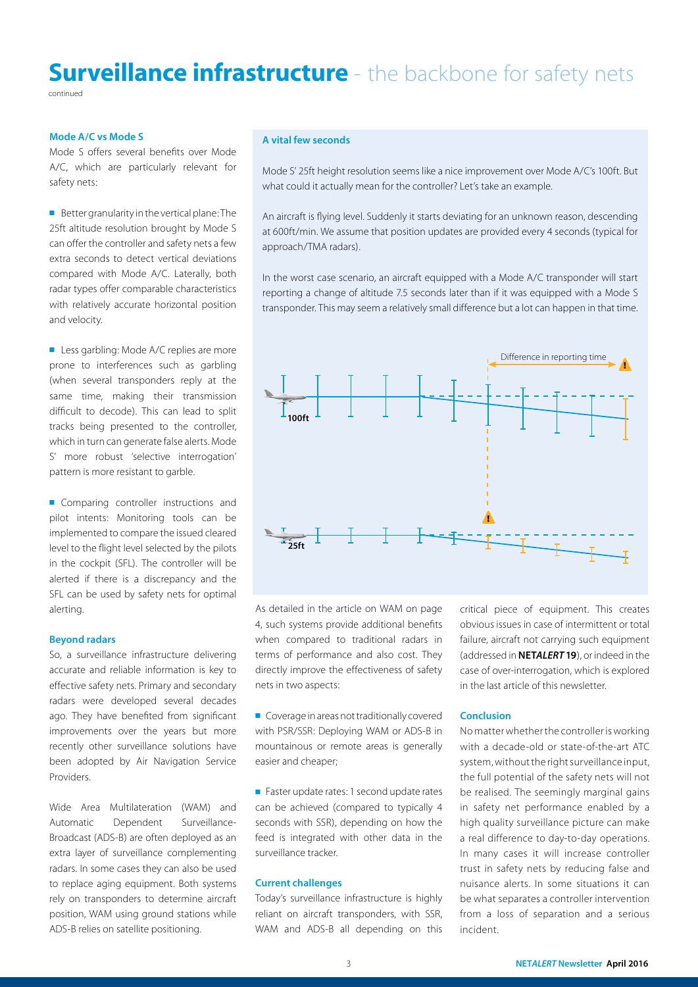## **Surveillance infrastructure** - the backbone for safety nets

continued

### Mode A/C vs Mode S

Mode S offers several benefits over Mode A/C, which are particularly relevant for safety nets:

■ Better granularity in the vertical plane: The 25ft altitude resolution brought by Mode S can offer the controller and safety nets a few extra seconds to detect vertical deviations compared with Mode A/C. Laterally, both radar types offer comparable characteristics with relatively accurate horizontal position and velocity.

■ Less garbling: Mode A/C replies are more prone to interferences such as garbling (when several transponders reply at the same time, making their transmission difficult to decode). This can lead to split tracks being presented to the controller, which in turn can generate false alerts. Mode S' more robust 'selective interrogation' pattern is more resistant to garble.

■ Comparing controller instructions and pilot intents: Monitoring tools can be implemented to compare the issued cleared level to the flight level selected by the pilots in the cockpit (SFL). The controller will be alerted if there is a discrepancy and the SFL can be used by safety nets for optimal alerting.

### Beyond radars

So, a surveillance infrastructure delivering accurate and reliable information is key to effective safety nets. Primary and secondary radars were developed several decades ago. They have benefited from significant improvements over the years but more recently other surveillance solutions have been adopted by Air Navigation Service Providers.

Wide Area Multilateration (WAM) and Automatic Dependent Surveillance-Broadcast (ADS-B) are often deployed as an extra layer of surveillance complementing radars. In some cases they can also be used to replace aging equipment. Both systems rely on transponders to determine aircraft position, WAM using ground stations while ADS-B relies on satellite positioning.

### A vital few seconds

Mode S' 25ft height resolution seems like a nice improvement over Mode A/C's 100ft. But what could it actually mean for the controller? Let's take an example.

An aircraft is flying level. Suddenly it starts deviating for an unknown reason, descending at 600ft/min. We assume that position updates are provided every 4 seconds (typical for approach/TMA radars).

In the worst case scenario, an aircraft equipped with a Mode A/C transponder will start reporting a change of altitude 7.5 seconds later than if it was equipped with a Mode S transponder. This may seem a relatively small difference but a lot can happen in that time.



As detailed in the article on WAM on page 4, such systems provide additional benefits when compared to traditional radars in terms of performance and also cost. They directly improve the effectiveness of safety nets in two aspects:

■ Coverage in areas not traditionally covered with PSR/SSR: Deploying WAM or ADS-B in mountainous or remote areas is generally easier and cheaper;

■ Faster update rates: 1 second update rates can be achieved (compared to typically 4 seconds with SSR), depending on how the feed is integrated with other data in the surveillance tracker.

### Current challenges

Today's surveillance infrastructure is highly reliant on aircraft transponders, with SSR, WAM and ADS-B all depending on this critical piece of equipment. This creates obvious issues in case of intermittent or total failure, aircraft not carrying such equipment (addressed in NET*ALERT* 19), or indeed in the case of over-interrogation, which is explored in the last article of this newsletter.

### Conclusion

No matter whether the controller is working with a decade-old or state-of-the-art ATC system, without the right surveillance input, the full potential of the safety nets will not be realised. The seemingly marginal gains in safety net performance enabled by a high quality surveillance picture can make a real difference to day-to-day operations. In many cases it will increase controller trust in safety nets by reducing false and nuisance alerts. In some situations it can be what separates a controller intervention from a loss of separation and a serious incident.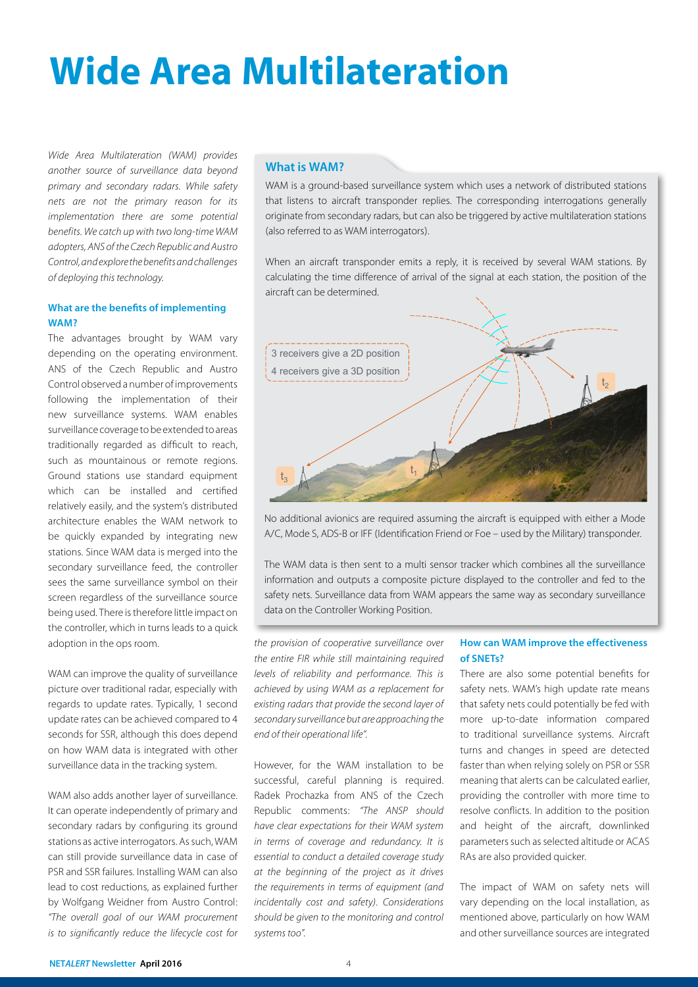# Wide Area Multilateration

*Wide Area Multilateration (WAM) provides another source of surveillance data beyond primary and secondary radars. While safety nets are not the primary reason for its implementation there are some potential benefits. We catch up with two long-time WAM adopters, ANS of the Czech Republic and Austro Control, and explore the benefits and challenges of deploying this technology.* 

### What are the benefits of implementing WAM?

The advantages brought by WAM vary depending on the operating environment. ANS of the Czech Republic and Austro Control observed a number of improvements following the implementation of their new surveillance systems. WAM enables surveillance coverage to be extended to areas traditionally regarded as difficult to reach, such as mountainous or remote regions. Ground stations use standard equipment which can be installed and certified relatively easily, and the system's distributed architecture enables the WAM network to be quickly expanded by integrating new stations. Since WAM data is merged into the secondary surveillance feed, the controller sees the same surveillance symbol on their screen regardless of the surveillance source being used. There is therefore little impact on the controller, which in turns leads to a quick adoption in the ops room.

WAM can improve the quality of surveillance picture over traditional radar, especially with regards to update rates. Typically, 1 second update rates can be achieved compared to 4 seconds for SSR, although this does depend on how WAM data is integrated with other surveillance data in the tracking system.

WAM also adds another layer of surveillance. It can operate independently of primary and secondary radars by configuring its ground stations as active interrogators. As such, WAM can still provide surveillance data in case of PSR and SSR failures. Installing WAM can also lead to cost reductions, as explained further by Wolfgang Weidner from Austro Control: *"The overall goal of our WAM procurement is to significantly reduce the lifecycle cost for* 

### What is WAM?

WAM is a ground-based surveillance system which uses a network of distributed stations that listens to aircraft transponder replies. The corresponding interrogations generally originate from secondary radars, but can also be triggered by active multilateration stations (also referred to as WAM interrogators).

When an aircraft transponder emits a reply, it is received by several WAM stations. By calculating the time difference of arrival of the signal at each station, the position of the aircraft can be determined.



No additional avionics are required assuming the aircraft is equipped with either a Mode A/C, Mode S, ADS-B or IFF (Identification Friend or Foe – used by the Military) transponder.

The WAM data is then sent to a multi sensor tracker which combines all the surveillance information and outputs a composite picture displayed to the controller and fed to the safety nets. Surveillance data from WAM appears the same way as secondary surveillance data on the Controller Working Position.

*the provision of cooperative surveillance over the entire FIR while still maintaining required levels of reliability and performance. This is achieved by using WAM as a replacement for existing radars that provide the second layer of secondary surveillance but are approaching the end of their operational life".*

However, for the WAM installation to be successful, careful planning is required. Radek Prochazka from ANS of the Czech Republic comments: *"The ANSP should have clear expectations for their WAM system in terms of coverage and redundancy. It is essential to conduct a detailed coverage study at the beginning of the project as it drives the requirements in terms of equipment (and incidentally cost and safety). Considerations should be given to the monitoring and control systems too".*

### How can WAM improve the effectiveness of SNETs?

There are also some potential benefits for safety nets. WAM's high update rate means that safety nets could potentially be fed with more up-to-date information compared to traditional surveillance systems. Aircraft turns and changes in speed are detected faster than when relying solely on PSR or SSR meaning that alerts can be calculated earlier, providing the controller with more time to resolve conflicts. In addition to the position and height of the aircraft, downlinked parameters such as selected altitude or ACAS RAs are also provided quicker.

The impact of WAM on safety nets will vary depending on the local installation, as mentioned above, particularly on how WAM and other surveillance sources are integrated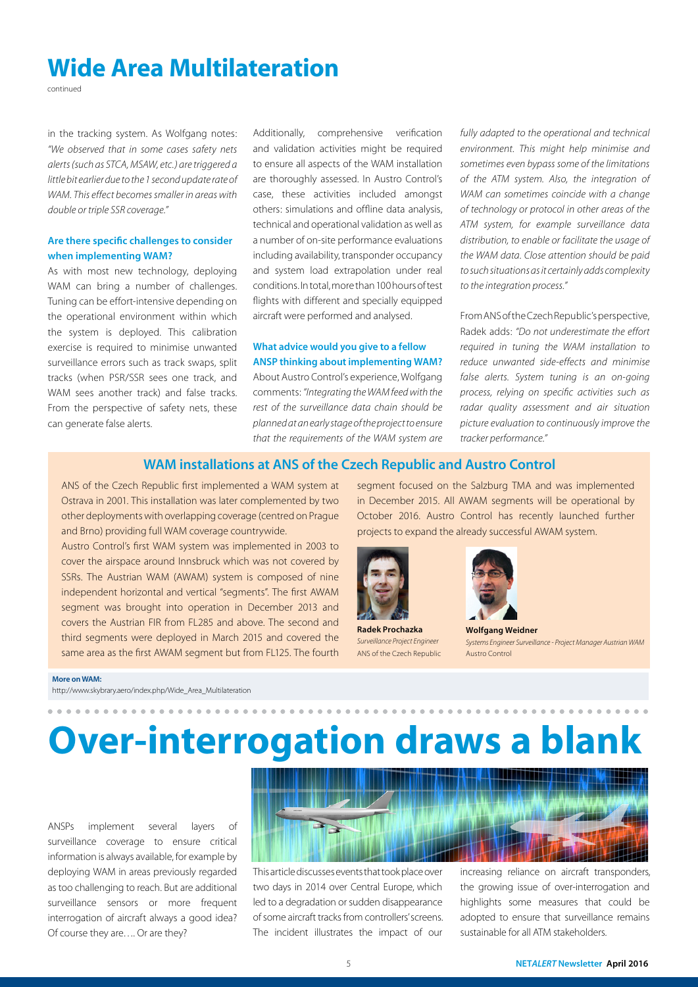### Wide Area Multilateration

continued

in the tracking system. As Wolfgang notes: *"We observed that in some cases safety nets alerts (such as STCA, MSAW, etc.) are triggered a little bit earlier due to the 1 second update rate of WAM. This effect becomes smaller in areas with double or triple SSR coverage."*

### Are there specific challenges to consider when implementing WAM?

As with most new technology, deploying WAM can bring a number of challenges. Tuning can be effort-intensive depending on the operational environment within which the system is deployed. This calibration exercise is required to minimise unwanted surveillance errors such as track swaps, split tracks (when PSR/SSR sees one track, and WAM sees another track) and false tracks. From the perspective of safety nets, these can generate false alerts.

Additionally, comprehensive verification and validation activities might be required to ensure all aspects of the WAM installation are thoroughly assessed. In Austro Control's case, these activities included amongst others: simulations and offline data analysis, technical and operational validation as well as a number of on-site performance evaluations including availability, transponder occupancy and system load extrapolation under real conditions. In total, more than 100 hours of test flights with different and specially equipped aircraft were performed and analysed.

### What advice would you give to a fellow ANSP thinking about implementing WAM?

About Austro Control's experience, Wolfgang comments: *"Integrating the WAM feed with the rest of the surveillance data chain should be planned at an early stage of the project to ensure that the requirements of the WAM system are* 

*fully adapted to the operational and technical environment. This might help minimise and sometimes even bypass some of the limitations of the ATM system. Also, the integration of WAM can sometimes coincide with a change of technology or protocol in other areas of the ATM system, for example surveillance data distribution, to enable or facilitate the usage of the WAM data. Close attention should be paid to such situations as it certainly adds complexity to the integration process."*

From ANS of the Czech Republic's perspective, Radek adds: *"Do not underestimate the effort required in tuning the WAM installation to reduce unwanted side-effects and minimise false alerts. System tuning is an on-going process, relying on specific activities such as radar quality assessment and air situation picture evaluation to continuously improve the tracker performance."*

### WAM installations at ANS of the Czech Republic and Austro Control

ANS of the Czech Republic first implemented a WAM system at Ostrava in 2001. This installation was later complemented by two other deployments with overlapping coverage (centred on Prague and Brno) providing full WAM coverage countrywide.

Austro Control's first WAM system was implemented in 2003 to cover the airspace around Innsbruck which was not covered by SSRs. The Austrian WAM (AWAM) system is composed of nine independent horizontal and vertical "segments". The first AWAM segment was brought into operation in December 2013 and covers the Austrian FIR from FL285 and above. The second and third segments were deployed in March 2015 and covered the same area as the first AWAM segment but from FL125. The fourth

segment focused on the Salzburg TMA and was implemented in December 2015. All AWAM segments will be operational by October 2016. Austro Control has recently launched further projects to expand the already successful AWAM system.



Radek Prochazka *Surveillance Project Engineer* ANS of the Czech Republic



Wolfgang Weidner *Systems Engineer Surveillance - Project Manager Austrian WAM* Austro Control

#### More on WAM:

[http://www.skybrary.aero/index.php/Wide\\_Area\\_Multilateration](http://www.skybrary.aero/index.php/Wide_Area_Multilateration)

# Over-interrogation draws a blank

ANSPs implement several layers of surveillance coverage to ensure critical information is always available, for example by deploying WAM in areas previously regarded as too challenging to reach. But are additional surveillance sensors or more frequent interrogation of aircraft always a good idea? Of course they are…. Or are they?



This article discusses events that took place over two days in 2014 over Central Europe, which led to a degradation or sudden disappearance of some aircraft tracks from controllers' screens. The incident illustrates the impact of our

increasing reliance on aircraft transponders, the growing issue of over-interrogation and highlights some measures that could be adopted to ensure that surveillance remains sustainable for all ATM stakeholders.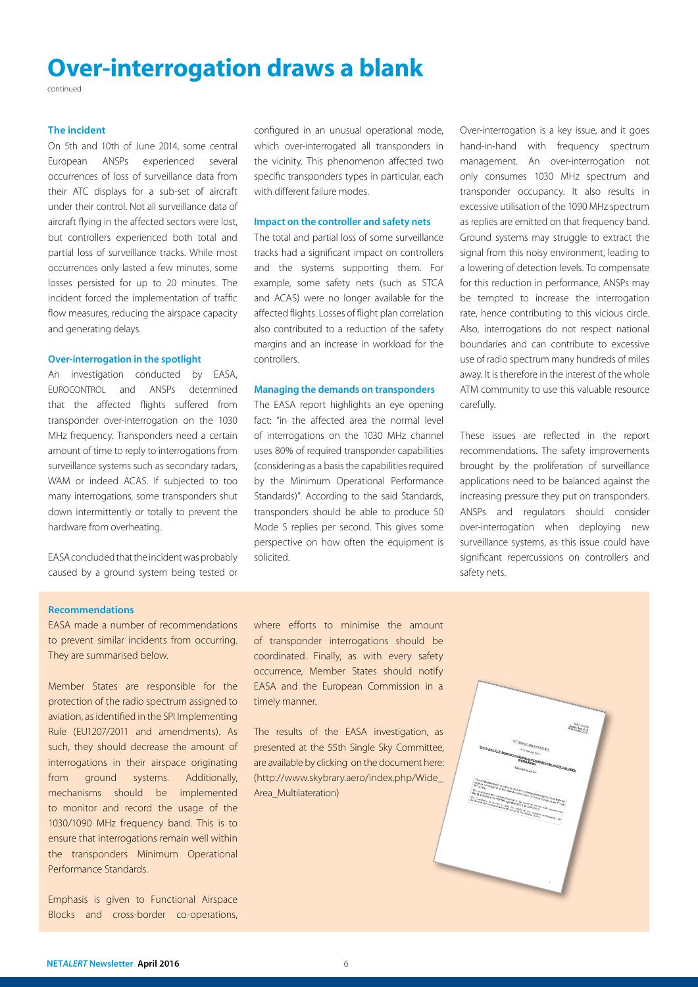### Over-interrogation draws a blank

continued

### The incident

On 5th and 10th of June 2014, some central European ANSPs experienced several occurrences of loss of surveillance data from their ATC displays for a sub-set of aircraft under their control. Not all surveillance data of aircraft flying in the affected sectors were lost, but controllers experienced both total and partial loss of surveillance tracks. While most occurrences only lasted a few minutes, some losses persisted for up to 20 minutes. The incident forced the implementation of traffic flow measures, reducing the airspace capacity and generating delays.

### Over-interrogation in the spotlight

An investigation conducted by EASA, EUROCONTROL and ANSPs determined that the affected flights suffered from transponder over-interrogation on the 1030 MHz frequency. Transponders need a certain amount of time to reply to interrogations from surveillance systems such as secondary radars, WAM or indeed ACAS. If subjected to too many interrogations, some transponders shut down intermittently or totally to prevent the hardware from overheating.

EASA concluded that the incident was probably caused by a ground system being tested or

configured in an unusual operational mode, which over-interrogated all transponders in the vicinity. This phenomenon affected two specific transponders types in particular, each with different failure modes.

### Impact on the controller and safety nets

The total and partial loss of some surveillance tracks had a significant impact on controllers and the systems supporting them. For example, some safety nets (such as STCA and ACAS) were no longer available for the affected flights. Losses of flight plan correlation also contributed to a reduction of the safety margins and an increase in workload for the controllers.

### Managing the demands on transponders

The EASA report highlights an eye opening fact: "in the affected area the normal level of interrogations on the 1030 MHz channel uses 80% of required transponder capabilities (considering as a basis the capabilities required by the Minimum Operational Performance Standards)". According to the said Standards, transponders should be able to produce 50 Mode S replies per second. This gives some perspective on how often the equipment is solicited.

Over-interrogation is a key issue, and it goes hand-in-hand with frequency spectrum management. An over-interrogation not only consumes 1030 MHz spectrum and transponder occupancy. It also results in excessive utilisation of the 1090 MHz spectrum as replies are emitted on that frequency band. Ground systems may struggle to extract the signal from this noisy environment, leading to a lowering of detection levels. To compensate for this reduction in performance, ANSPs may be tempted to increase the interrogation rate, hence contributing to this vicious circle. Also, interrogations do not respect national boundaries and can contribute to excessive use of radio spectrum many hundreds of miles away. It is therefore in the interest of the whole ATM community to use this valuable resource carefully.

These issues are reflected in the report recommendations. The safety improvements brought by the proliferation of surveillance applications need to be balanced against the increasing pressure they put on transponders. ANSPs and regulators should consider over-interrogation when deploying new surveillance systems, as this issue could have significant repercussions on controllers and safety nets.

### Recommendations

EASA made a number of recommendations to prevent similar incidents from occurring. They are summarised below.

Member States are responsible for the protection of the radio spectrum assigned to aviation, as identified in the SPI Implementing Rule (EU1207/2011 and amendments). As such, they should decrease the amount of interrogations in their airspace originating from ground systems. Additionally, mechanisms should be implemented to monitor and record the usage of the 1030/1090 MHz frequency band. This is to ensure that interrogations remain well within the transponders Minimum Operational Performance Standards.

Emphasis is given to Functional Airspace Blocks and cross-border co-operations, where efforts to minimise the amount of transponder interrogations should be coordinated. Finally, as with every safety occurrence, Member States should notify EASA and the European Commission in a timely manner.

The results of the EASA investigation, [as](http://www.icb-portal.eu/phocadownload/ssc55_new/ssc55%20item%209.12-results%20from%20technical%20investigation%20on%20radar%20detection%20losses-wp24.pdf)  presented at the 55th Single Sky Committee, are available by clicking on the document here: (http://www.skybrary.aero/index.php/Wide\_ Area\_Multilateration)